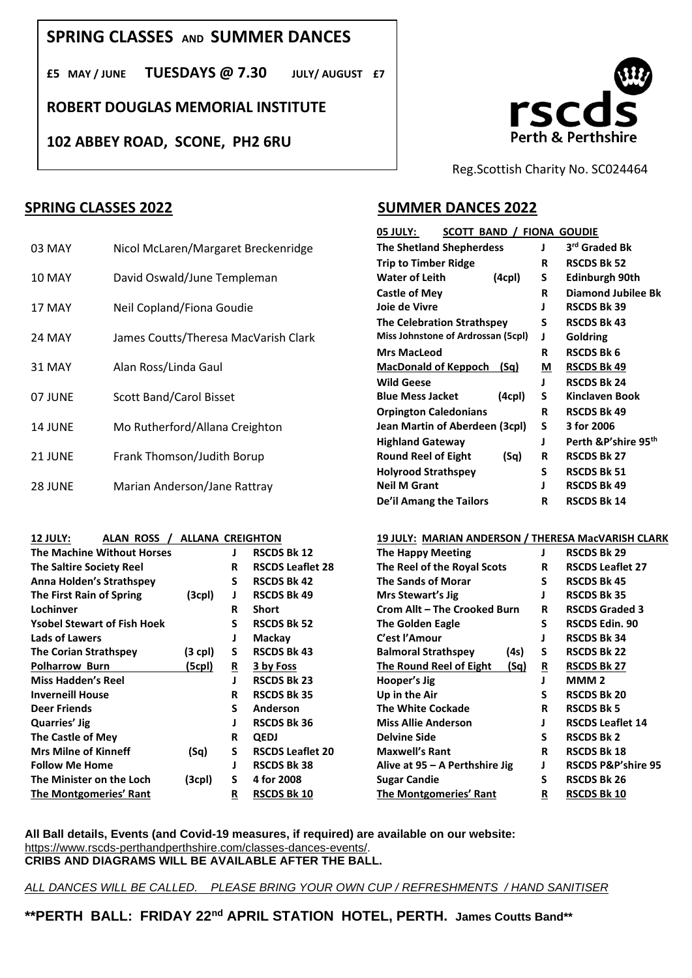# **SPRING CLASSES AND SUMMER DANCES**

**£5 MAY / JUNE TUESDAYS @ 7.30 JULY/ AUGUST £7**

**ROBERT DOUGLAS MEMORIAL INSTITUTE**

**102 ABBEY ROAD, SCONE, PH2 6RU**



Reg.Scottish Charity No. SC024464

## **SPRING CLASSES 2022**

| 03 MAY        | Nicol McLaren/Margaret Breckenridge  | <b>The Shetland Shepherdess</b>             |    | 3 <sup>rd</sup> Graded Bk |
|---------------|--------------------------------------|---------------------------------------------|----|---------------------------|
|               |                                      | <b>Trip to Timber Ridge</b>                 | R  | <b>RSCDS Bk 52</b>        |
| <b>10 MAY</b> | David Oswald/June Templeman          | <b>Water of Leith</b><br>(4 <sub>cp</sub> ) | S. | <b>Edinburgh 90th</b>     |
|               |                                      | Castle of Mey                               | R  | <b>Diamond Jubile</b>     |
| 17 MAY        | Neil Copland/Fiona Goudie            | Joie de Vivre                               |    | <b>RSCDS Bk 39</b>        |
|               |                                      | <b>The Celebration Strathspey</b>           | S  | <b>RSCDS Bk 43</b>        |
| 24 MAY        | James Coutts/Theresa MacVarish Clark | Miss Johnstone of Ardrossan (5cpl)          |    | <b>Goldring</b>           |
|               |                                      | <b>Mrs MacLeod</b>                          | R  | <b>RSCDS Bk 6</b>         |
| 31 MAY        | Alan Ross/Linda Gaul                 | MacDonald of Keppoch (Sq)                   | М  | <b>RSCDS Bk 49</b>        |
|               |                                      | <b>Wild Geese</b>                           |    | <b>RSCDS Bk 24</b>        |
| 07 JUNE       | <b>Scott Band/Carol Bisset</b>       | <b>Blue Mess Jacket</b><br>(4cpl)           | s  | <b>Kinclaven Book</b>     |
|               |                                      | <b>Orpington Caledonians</b>                | R  | <b>RSCDS Bk 49</b>        |
| 14 JUNE       | Mo Rutherford/Allana Creighton       | Jean Martin of Aberdeen (3cpl)              | S. | 3 for 2006                |
|               |                                      | <b>Highland Gateway</b>                     |    | Perth & P'shire !         |
| 21 JUNE       | Frank Thomson/Judith Borup           | (Sq)<br><b>Round Reel of Eight</b>          | R  | <b>RSCDS Bk 27</b>        |
|               |                                      | <b>Holyrood Strathspey</b>                  | S  | <b>RSCDS Bk 51</b>        |
| 28 JUNE       | Marian Anderson/Jane Rattray         | <b>Neil M Grant</b>                         |    | <b>RSCDS Bk 49</b>        |
|               |                                      |                                             |    |                           |

| <b>The Machine Without Horses</b>  |                    |    | <b>RSCDS Bk 12</b>      | <b>The Happy Meeting</b>               |    | <b>RSCDS Bk 29</b>            |
|------------------------------------|--------------------|----|-------------------------|----------------------------------------|----|-------------------------------|
| <b>The Saltire Society Reel</b>    |                    | R  | <b>RSCDS Leaflet 28</b> | The Reel of the Royal Scots            | R  | <b>RSCDS Leaflet 27</b>       |
| <b>Anna Holden's Strathspey</b>    |                    | S. | <b>RSCDS Bk 42</b>      | <b>The Sands of Morar</b>              | S  | <b>RSCDS Bk 45</b>            |
| The First Rain of Spring           | (3 <sub>cp</sub> ) | J  | <b>RSCDS Bk 49</b>      | Mrs Stewart's Jig                      |    | <b>RSCDS Bk 35</b>            |
| Lochinver                          |                    | R  | Short                   | Crom Allt - The Crooked Burn           | R  | <b>RSCDS Graded 3</b>         |
| <b>Ysobel Stewart of Fish Hoek</b> |                    | S  | <b>RSCDS Bk 52</b>      | <b>The Golden Eagle</b>                | S  | <b>RSCDS Edin. 90</b>         |
| Lads of Lawers                     |                    | J  | Mackay                  | C'est l'Amour                          |    | <b>RSCDS Bk 34</b>            |
| <b>The Corian Strathspey</b>       | $(3$ cpl)          | S. | <b>RSCDS Bk 43</b>      | <b>Balmoral Strathspey</b><br>(4s)     | S. | <b>RSCDS Bk 22</b>            |
| <b>Polharrow Burn</b>              | (5cpl)             | R  | 3 by Foss               | <b>The Round Reel of Eight</b><br>(Sq) | R  | <b>RSCDS Bk 27</b>            |
| <b>Miss Hadden's Reel</b>          |                    |    | <b>RSCDS Bk 23</b>      | Hooper's Jig                           |    | MMM <sub>2</sub>              |
| <b>Inverneill House</b>            |                    | R  | <b>RSCDS Bk 35</b>      | Up in the Air                          | s  | <b>RSCDS Bk 20</b>            |
| <b>Deer Friends</b>                |                    | S  | Anderson                | <b>The White Cockade</b>               | R  | <b>RSCDS Bk 5</b>             |
| Quarries' Jig                      |                    |    | <b>RSCDS Bk 36</b>      | <b>Miss Allie Anderson</b>             |    | <b>RSCDS Leaflet 14</b>       |
| The Castle of Mey                  |                    | R  | <b>QEDJ</b>             | <b>Delvine Side</b>                    | S  | <b>RSCDS Bk 2</b>             |
| <b>Mrs Milne of Kinneff</b>        | (Sq)               | S  | <b>RSCDS Leaflet 20</b> | <b>Maxwell's Rant</b>                  | R  | <b>RSCDS Bk 18</b>            |
| <b>Follow Me Home</b>              |                    | J  | <b>RSCDS Bk 38</b>      | Alive at $95 - A$ Perthshire Jig       |    | <b>RSCDS P&amp;P'shire 95</b> |
| The Minister on the Loch           | (3cpl)             | S. | 4 for 2008              | <b>Sugar Candie</b>                    | S  | <b>RSCDS Bk 26</b>            |
| The Montgomeries' Rant             |                    | R  | <b>RSCDS Bk 10</b>      | <b>The Montgomeries' Rant</b>          | R  | <b>RSCDS Bk 10</b>            |

## **SUMMER DANCES 2022**

| SCOTT BAND /<br>05 JULY:            |   | <b>FIONA GOUDIE</b>              |
|-------------------------------------|---|----------------------------------|
| <b>The Shetland Shepherdess</b>     | J | 3rd Graded Bk                    |
| <b>Trip to Timber Ridge</b>         | R | <b>RSCDS Bk 52</b>               |
| <b>Water of Leith</b><br>(4cpl)     | S | Edinburgh 90th                   |
| Castle of Mey                       | R | Diamond Jubilee Bk               |
| Joie de Vivre                       | J | <b>RSCDS Bk 39</b>               |
| <b>The Celebration Strathspey</b>   | S | <b>RSCDS Bk 43</b>               |
| Miss Johnstone of Ardrossan (5cpl)  | J | Goldring                         |
| <b>Mrs MacLeod</b>                  | R | <b>RSCDS Bk 6</b>                |
| <b>MacDonald of Keppoch</b><br>(Sq) | М | <b>RSCDS Bk 49</b>               |
| <b>Wild Geese</b>                   | J | <b>RSCDS Bk 24</b>               |
| <b>Blue Mess Jacket</b><br>(4cpl)   | S | Kinclaven Book                   |
| <b>Orpington Caledonians</b>        | R | <b>RSCDS Bk 49</b>               |
| Jean Martin of Aberdeen (3cpl)      | S | 3 for 2006                       |
| <b>Highland Gateway</b>             | J | Perth & P'shire 95 <sup>th</sup> |
| <b>Round Reel of Eight</b><br>(Sq)  | R | <b>RSCDS Bk 27</b>               |
| <b>Holyrood Strathspey</b>          | S | <b>RSCDS Bk 51</b>               |
| <b>Neil M Grant</b>                 | ı | <b>RSCDS Bk 49</b>               |
| De'il Amang the Tailors             | R | <b>RSCDS Bk 14</b>               |

### **12 JULY: ALAN ROSS / ALLANA CREIGHTON 19 JULY: MARIAN ANDERSON / THERESA MacVARISH CLARK**

| <b>The Happy Meeting</b>               | J        | <b>RSCDS Bk 29</b>            |  |  |  |
|----------------------------------------|----------|-------------------------------|--|--|--|
| The Reel of the Royal Scots            | R        | <b>RSCDS Leaflet 27</b>       |  |  |  |
| <b>The Sands of Morar</b>              | S        | <b>RSCDS Bk 45</b>            |  |  |  |
| Mrs Stewart's Jig                      | J        | <b>RSCDS Bk 35</b>            |  |  |  |
| Crom Allt – The Crooked Burn           | R        | <b>RSCDS Graded 3</b>         |  |  |  |
| <b>The Golden Eagle</b>                | S        | <b>RSCDS Edin. 90</b>         |  |  |  |
| C'est l'Amour                          | J        | <b>RSCDS Bk 34</b>            |  |  |  |
| <b>Balmoral Strathspey</b><br>(4s)     | S        | <b>RSCDS Bk 22</b>            |  |  |  |
| (Sq)<br><b>The Round Reel of Eight</b> | <u>R</u> | <b>RSCDS Bk 27</b>            |  |  |  |
| Hooper's Jig                           | I        | MMM 2                         |  |  |  |
| Up in the Air                          | S        | <b>RSCDS Bk 20</b>            |  |  |  |
| <b>The White Cockade</b>               | R        | <b>RSCDS Bk 5</b>             |  |  |  |
| <b>Miss Allie Anderson</b>             | J        | <b>RSCDS Leaflet 14</b>       |  |  |  |
| <b>Delvine Side</b>                    | S        | <b>RSCDS Bk 2</b>             |  |  |  |
| <b>Maxwell's Rant</b>                  | R        | <b>RSCDS Bk 18</b>            |  |  |  |
| Alive at $95 - A$ Perthshire Jig       | J        | <b>RSCDS P&amp;P'shire 95</b> |  |  |  |
| Sugar Candie                           | S        | <b>RSCDS Bk 26</b>            |  |  |  |
| The Montgomeries' Rant                 | R        | RSCDS Bk 10                   |  |  |  |

### **All Ball details, Events (and Covid-19 measures, if required) are available on our website:** [https://www.rscds-perthandperthshire.com/classes-dances-events/.](https://www.rscds-perthandperthshire.com/classes-dances-events/) **CRIBS AND DIAGRAMS WILL BE AVAILABLE AFTER THE BALL.**

*ALL DANCES WILL BE CALLED. PLEASE BRING YOUR OWN CUP / REFRESHMENTS / HAND SANITISER*

**\*\*PERTH BALL: FRIDAY 22nd APRIL STATION HOTEL, PERTH. James Coutts Band\*\***